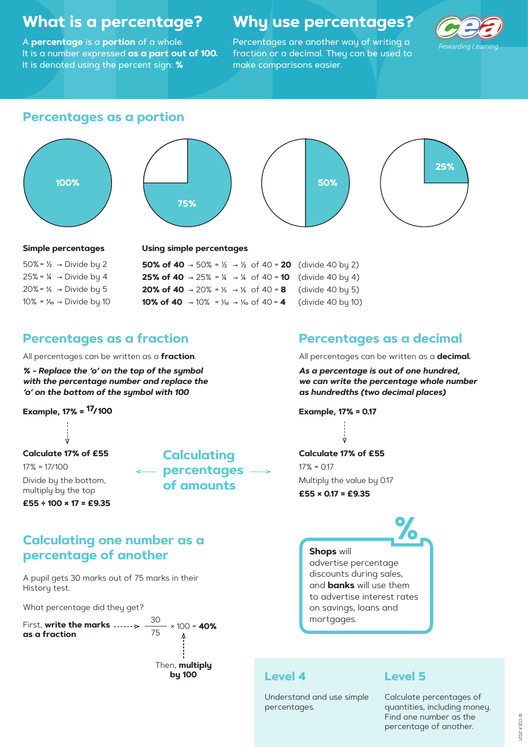# **What is a percentage?**

A **percentage** is a **portion** of a whole. It is a number expressed **as a part out of 100.** It is denoted using the percent sign: **%**

# **Why use percentages?**

Percentages are another way of writing a fraction or a decimal. They can be used to make comparisons easier.



### **Level 4**

Understand and use simple percentages.

### **Level 5**

Calculate percentages of quantities, including money. Find one number as the percentage of another.

## **Percentages as a portion**

# **Percentages as a fraction Percentages as a decimal**

#### **Simple percentages**

50% =  $\frac{1}{2}$   $\rightarrow$  Divide by 2 25% = ¼ → Divide by 4 20% = 1⁄5 → Divide by 5 10% = 1⁄10 → Divide by 10 **Using simple percentages**

|  |  | <b>50% of 40</b> $\rightarrow$ 50% = 1/ <sub>2</sub> $\rightarrow$ 1/ <sub>2</sub> of 40 = <b>20</b> (divide 40 by 2) |
|--|--|-----------------------------------------------------------------------------------------------------------------------|
|  |  | <b>25% of 40</b> $\rightarrow$ 25% = ¼ $\rightarrow$ ¼ of 40 = <b>10</b> (divide 40 by 4)                             |
|  |  | <b>20% of 40</b> $\rightarrow$ 20% = % $\rightarrow$ % of 40 = <b>8</b> (divide 40 by 5)                              |
|  |  | <b>10% of 40</b> $\rightarrow$ 10% = $\frac{1}{10}$ $\rightarrow$ $\frac{1}{10}$ of 40 = <b>4</b> (divide 40 by 10)   |

All percentages can be written as a **decimal.**

*As a percentage is out of one hundred, we can write the percentage whole number as hundredths (two decimal places)*

**Example, 17% = 0.17**

All percentages can be written as a **fraction**.

*% - Replace the 'o' on the top of the symbol with the percentage number and replace the 'o' on the bottom of the symbol with 100*

**Example, 17% =**

**Calculating percentages of amounts**

**Calculate 17% of £55**17% = 17/100Divide by the bottom, multiply by the top

**£55 ÷ 100 × 17 = £9.35**







discounts during sales, and **banks** will use them to advertise interest rates on savings, loans and mortgages.

**Calculate 17% of £55** $17\% = 0.17$ Multiply the value by 0.17 **£55 × 0.17 = £9.35**

# **Calculating one number as a percentage of another**

A pupil gets 30 marks out of 75 marks in their History test.

```
What percentage did they get?
```

```
First, write the marks 
as a fraction
                                   30
                                   75
                                        × 100 = 40%
```
Then, **multiply by 100**